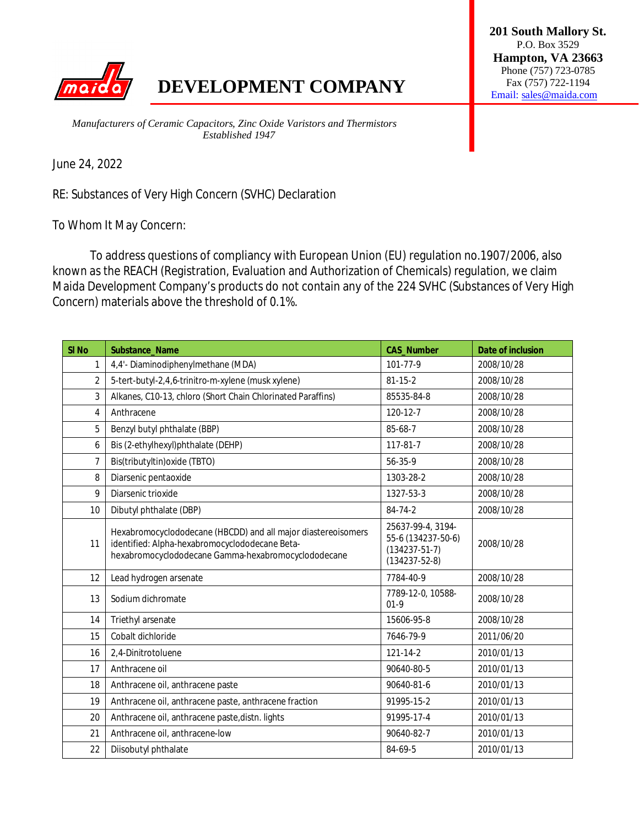

## **DEVELOPMENT COMPANY** Email: sales @maida.com

**201 South Mallory St.** P.O. Box 3529 **Hampton, VA 23663** Phone (757) 723-0785

*Manufacturers of Ceramic Capacitors, Zinc Oxide Varistors and Thermistors Established 1947*

June 24, 2022

RE: Substances of Very High Concern (SVHC) Declaration

To Whom It May Concern:

To address questions of compliancy with European Union (EU) regulation no.1907/2006, also known as the REACH (Registration, Evaluation and Authorization of Chemicals) regulation, we claim Maida Development Company's products do not contain any of the 224 SVHC (Substances of Very High Concern) materials above the threshold of 0.1%.

| SI <sub>No</sub> | Substance_Name                                                                                                                                                         | <b>CAS_Number</b>                                                                     | Date of inclusion |
|------------------|------------------------------------------------------------------------------------------------------------------------------------------------------------------------|---------------------------------------------------------------------------------------|-------------------|
| $\mathbf{1}$     | 4,4'- Diaminodiphenylmethane (MDA)                                                                                                                                     | 101-77-9                                                                              | 2008/10/28        |
| $\overline{2}$   | 5-tert-butyl-2,4,6-trinitro-m-xylene (musk xylene)                                                                                                                     | $81 - 15 - 2$                                                                         | 2008/10/28        |
| 3                | Alkanes, C10-13, chloro (Short Chain Chlorinated Paraffins)                                                                                                            | 85535-84-8                                                                            | 2008/10/28        |
| 4                | Anthracene                                                                                                                                                             | 120-12-7                                                                              | 2008/10/28        |
| 5                | Benzyl butyl phthalate (BBP)                                                                                                                                           | 85-68-7                                                                               | 2008/10/28        |
| 6                | Bis (2-ethylhexyl)phthalate (DEHP)                                                                                                                                     | 117-81-7                                                                              | 2008/10/28        |
| $\overline{7}$   | Bis(tributyltin) oxide (TBTO)                                                                                                                                          | 56-35-9                                                                               | 2008/10/28        |
| 8                | Diarsenic pentaoxide                                                                                                                                                   | 1303-28-2                                                                             | 2008/10/28        |
| 9                | Diarsenic trioxide                                                                                                                                                     | 1327-53-3                                                                             | 2008/10/28        |
| 10               | Dibutyl phthalate (DBP)                                                                                                                                                | 84-74-2                                                                               | 2008/10/28        |
| 11               | Hexabromocyclododecane (HBCDD) and all major diastereoisomers<br>identified: Alpha-hexabromocyclododecane Beta-<br>hexabromocyclododecane Gamma-hexabromocyclododecane | 25637-99-4, 3194-<br>55-6 (134237-50-6)<br>$(134237 - 51 - 7)$<br>$(134237 - 52 - 8)$ | 2008/10/28        |
| 12               | Lead hydrogen arsenate                                                                                                                                                 | 7784-40-9                                                                             | 2008/10/28        |
| 13               | Sodium dichromate                                                                                                                                                      | 7789-12-0, 10588-<br>$01-9$                                                           | 2008/10/28        |
| 14               | Triethyl arsenate                                                                                                                                                      | 15606-95-8                                                                            | 2008/10/28        |
| 15               | Cobalt dichloride                                                                                                                                                      | 7646-79-9                                                                             | 2011/06/20        |
| 16               | 2,4-Dinitrotoluene                                                                                                                                                     | 121-14-2                                                                              | 2010/01/13        |
| 17               | Anthracene oil                                                                                                                                                         | 90640-80-5                                                                            | 2010/01/13        |
| 18               | Anthracene oil, anthracene paste                                                                                                                                       | 90640-81-6                                                                            | 2010/01/13        |
| 19               | Anthracene oil, anthracene paste, anthracene fraction                                                                                                                  | 91995-15-2                                                                            | 2010/01/13        |
| 20               | Anthracene oil, anthracene paste, distn. lights                                                                                                                        | 91995-17-4                                                                            | 2010/01/13        |
| 21               | Anthracene oil, anthracene-low                                                                                                                                         | 90640-82-7                                                                            | 2010/01/13        |
| 22               | Diisobutyl phthalate                                                                                                                                                   | 84-69-5                                                                               | 2010/01/13        |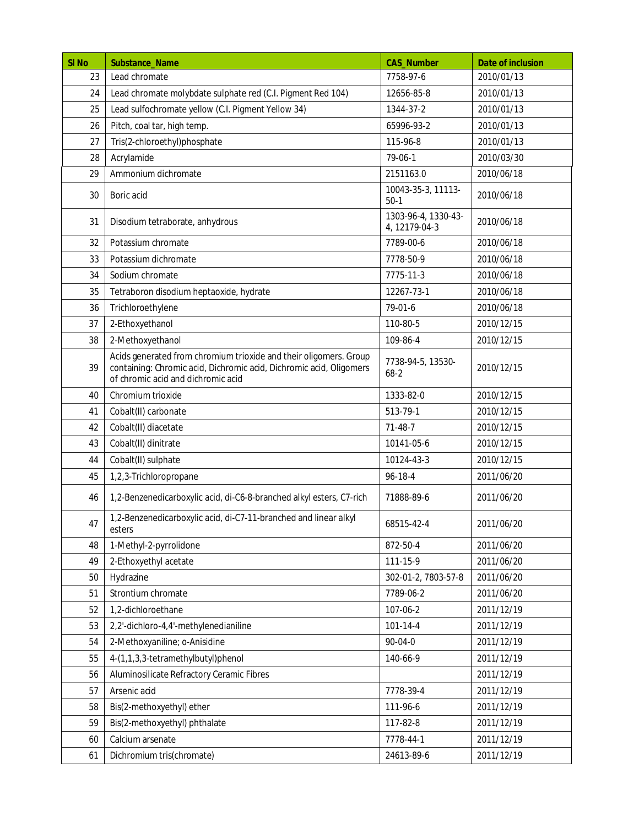| SI <sub>No</sub> | Substance_Name                                                                                                                                                                 | <b>CAS_Number</b>                    | Date of inclusion |
|------------------|--------------------------------------------------------------------------------------------------------------------------------------------------------------------------------|--------------------------------------|-------------------|
| 23               | Lead chromate                                                                                                                                                                  | 7758-97-6                            | 2010/01/13        |
| 24               | Lead chromate molybdate sulphate red (C.I. Pigment Red 104)                                                                                                                    | 12656-85-8                           | 2010/01/13        |
| 25               | Lead sulfochromate yellow (C.I. Pigment Yellow 34)                                                                                                                             | 1344-37-2                            | 2010/01/13        |
| 26               | Pitch, coal tar, high temp.                                                                                                                                                    | 65996-93-2                           | 2010/01/13        |
| 27               | Tris(2-chloroethyl)phosphate                                                                                                                                                   | 115-96-8                             | 2010/01/13        |
| 28               | Acrylamide                                                                                                                                                                     | 79-06-1                              | 2010/03/30        |
| 29               | Ammonium dichromate                                                                                                                                                            | 2151163.0                            | 2010/06/18        |
| 30               | Boric acid                                                                                                                                                                     | 10043-35-3, 11113-<br>$50-1$         | 2010/06/18        |
| 31               | Disodium tetraborate, anhydrous                                                                                                                                                | 1303-96-4, 1330-43-<br>4, 12179-04-3 | 2010/06/18        |
| 32               | Potassium chromate                                                                                                                                                             | 7789-00-6                            | 2010/06/18        |
| 33               | Potassium dichromate                                                                                                                                                           | 7778-50-9                            | 2010/06/18        |
| 34               | Sodium chromate                                                                                                                                                                | 7775-11-3                            | 2010/06/18        |
| 35               | Tetraboron disodium heptaoxide, hydrate                                                                                                                                        | 12267-73-1                           | 2010/06/18        |
| 36               | Trichloroethylene                                                                                                                                                              | 79-01-6                              | 2010/06/18        |
| 37               | 2-Ethoxyethanol                                                                                                                                                                | 110-80-5                             | 2010/12/15        |
| 38               | 2-Methoxyethanol                                                                                                                                                               | 109-86-4                             | 2010/12/15        |
| 39               | Acids generated from chromium trioxide and their oligomers. Group<br>containing: Chromic acid, Dichromic acid, Dichromic acid, Oligomers<br>of chromic acid and dichromic acid | 7738-94-5, 13530-<br>$68-2$          | 2010/12/15        |
| 40               | Chromium trioxide                                                                                                                                                              | 1333-82-0                            | 2010/12/15        |
| 41               | Cobalt(II) carbonate                                                                                                                                                           | 513-79-1                             | 2010/12/15        |
| 42               | Cobalt(II) diacetate                                                                                                                                                           | $71-48-7$                            | 2010/12/15        |
| 43               | Cobalt(II) dinitrate                                                                                                                                                           | 10141-05-6                           | 2010/12/15        |
| 44               | Cobalt(II) sulphate                                                                                                                                                            | 10124-43-3                           | 2010/12/15        |
| 45               | 1,2,3-Trichloropropane                                                                                                                                                         | $96 - 18 - 4$                        | 2011/06/20        |
| 46               | 1,2-Benzenedicarboxylic acid, di-C6-8-branched alkyl esters, C7-rich                                                                                                           | 71888-89-6                           | 2011/06/20        |
| 47               | 1,2-Benzenedicarboxylic acid, di-C7-11-branched and linear alkyl<br>esters                                                                                                     | 68515-42-4                           | 2011/06/20        |
| 48               | 1-Methyl-2-pyrrolidone                                                                                                                                                         | 872-50-4                             | 2011/06/20        |
| 49               | 2-Ethoxyethyl acetate                                                                                                                                                          | 111-15-9                             | 2011/06/20        |
| 50               | Hydrazine                                                                                                                                                                      | 302-01-2, 7803-57-8                  | 2011/06/20        |
| 51               | Strontium chromate                                                                                                                                                             | 7789-06-2                            | 2011/06/20        |
| 52               | 1,2-dichloroethane                                                                                                                                                             | 107-06-2                             | 2011/12/19        |
| 53               | 2,2'-dichloro-4,4'-methylenedianiline                                                                                                                                          | $101 - 14 - 4$                       | 2011/12/19        |
| 54               | 2-Methoxyaniline; o-Anisidine                                                                                                                                                  | 90-04-0                              | 2011/12/19        |
| 55               | 4-(1,1,3,3-tetramethylbutyl)phenol                                                                                                                                             | 140-66-9                             | 2011/12/19        |
| 56               | Aluminosilicate Refractory Ceramic Fibres                                                                                                                                      |                                      | 2011/12/19        |
| 57               | Arsenic acid                                                                                                                                                                   | 7778-39-4                            | 2011/12/19        |
| 58               | Bis(2-methoxyethyl) ether                                                                                                                                                      | 111-96-6                             | 2011/12/19        |
| 59               | Bis(2-methoxyethyl) phthalate                                                                                                                                                  | 117-82-8                             | 2011/12/19        |
| 60               | Calcium arsenate                                                                                                                                                               | 7778-44-1                            | 2011/12/19        |
| 61               | Dichromium tris(chromate)                                                                                                                                                      | 24613-89-6                           | 2011/12/19        |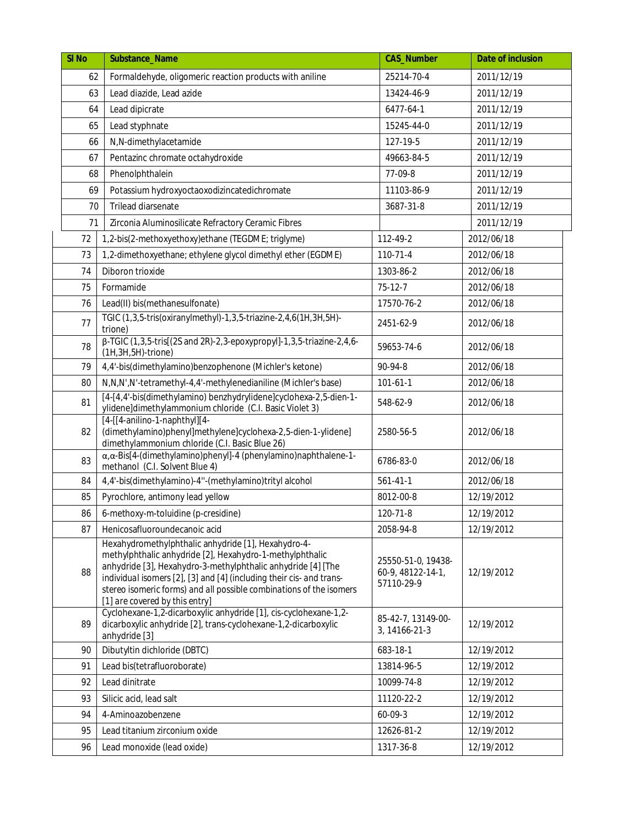| SI <sub>No</sub> | Substance_Name                                                                                                                                                                                                                                                                                                                                                   | <b>CAS_Number</b>                                     | Date of inclusion |
|------------------|------------------------------------------------------------------------------------------------------------------------------------------------------------------------------------------------------------------------------------------------------------------------------------------------------------------------------------------------------------------|-------------------------------------------------------|-------------------|
| 62               | Formaldehyde, oligomeric reaction products with aniline                                                                                                                                                                                                                                                                                                          | 25214-70-4                                            | 2011/12/19        |
| 63               | Lead diazide, Lead azide                                                                                                                                                                                                                                                                                                                                         | 13424-46-9                                            | 2011/12/19        |
| 64               | Lead dipicrate                                                                                                                                                                                                                                                                                                                                                   | 6477-64-1                                             | 2011/12/19        |
| 65               | Lead styphnate                                                                                                                                                                                                                                                                                                                                                   | 15245-44-0                                            | 2011/12/19        |
| 66               | N,N-dimethylacetamide                                                                                                                                                                                                                                                                                                                                            | 127-19-5                                              | 2011/12/19        |
| 67               | Pentazinc chromate octahydroxide                                                                                                                                                                                                                                                                                                                                 | 49663-84-5                                            | 2011/12/19        |
| 68               | Phenolphthalein                                                                                                                                                                                                                                                                                                                                                  | 77-09-8                                               | 2011/12/19        |
| 69               | Potassium hydroxyoctaoxodizincatedichromate                                                                                                                                                                                                                                                                                                                      | 11103-86-9                                            | 2011/12/19        |
| 70               | Trilead diarsenate                                                                                                                                                                                                                                                                                                                                               | 3687-31-8                                             | 2011/12/19        |
| 71               | Zirconia Aluminosilicate Refractory Ceramic Fibres                                                                                                                                                                                                                                                                                                               |                                                       | 2011/12/19        |
| 72               | 1,2-bis(2-methoxyethoxy)ethane (TEGDME; triglyme)                                                                                                                                                                                                                                                                                                                | 112-49-2                                              | 2012/06/18        |
| 73               | 1,2-dimethoxyethane; ethylene glycol dimethyl ether (EGDME)                                                                                                                                                                                                                                                                                                      | 110-71-4                                              | 2012/06/18        |
| 74               | Diboron trioxide                                                                                                                                                                                                                                                                                                                                                 | 1303-86-2                                             | 2012/06/18        |
| 75               | Formamide                                                                                                                                                                                                                                                                                                                                                        | $75-12-7$                                             | 2012/06/18        |
| 76               | Lead(II) bis(methanesulfonate)                                                                                                                                                                                                                                                                                                                                   | 17570-76-2                                            | 2012/06/18        |
| 77               | TGIC (1,3,5-tris(oxiranylmethyl)-1,3,5-triazine-2,4,6(1H,3H,5H)-<br>trione)                                                                                                                                                                                                                                                                                      | 2451-62-9                                             | 2012/06/18        |
| 78               | β-TGIC (1,3,5-tris[(2S and 2R)-2,3-epoxypropyl]-1,3,5-triazine-2,4,6-<br>(1H, 3H, 5H)-trione)                                                                                                                                                                                                                                                                    | 59653-74-6                                            | 2012/06/18        |
| 79               | 4,4'-bis(dimethylamino)benzophenone (Michler's ketone)                                                                                                                                                                                                                                                                                                           | $90-94-8$                                             | 2012/06/18        |
| 80               | N, N, N', N'-tetramethyl-4, 4'-methylenedianiline (Michler's base)                                                                                                                                                                                                                                                                                               | $101 - 61 - 1$                                        | 2012/06/18        |
| 81               | [4-[4,4'-bis(dimethylamino) benzhydrylidene]cyclohexa-2,5-dien-1-<br>ylidene]dimethylammonium chloride (C.I. Basic Violet 3)                                                                                                                                                                                                                                     | 548-62-9                                              | 2012/06/18        |
| 82               | [4-[[4-anilino-1-naphthyl][4-<br>(dimethylamino)phenyl]methylene]cyclohexa-2,5-dien-1-ylidene]<br>dimethylammonium chloride (C.I. Basic Blue 26)                                                                                                                                                                                                                 | 2580-56-5                                             | 2012/06/18        |
| 83               | $\alpha$ , $\alpha$ -Bis[4-(dimethylamino)phenyl]-4 (phenylamino)naphthalene-1-<br>methanol (C.I. Solvent Blue 4)                                                                                                                                                                                                                                                | 6786-83-0                                             | 2012/06/18        |
| 84               | 4,4'-bis(dimethylamino)-4"-(methylamino)trityl alcohol                                                                                                                                                                                                                                                                                                           | $561 - 41 - 1$                                        | 2012/06/18        |
| 85               | Pyrochlore, antimony lead yellow                                                                                                                                                                                                                                                                                                                                 | 8012-00-8                                             | 12/19/2012        |
| 86               | 6-methoxy-m-toluidine (p-cresidine)                                                                                                                                                                                                                                                                                                                              | 120-71-8                                              | 12/19/2012        |
| 87               | Henicosafluoroundecanoic acid                                                                                                                                                                                                                                                                                                                                    | 2058-94-8                                             | 12/19/2012        |
| 88               | Hexahydromethylphthalic anhydride [1], Hexahydro-4-<br>methylphthalic anhydride [2], Hexahydro-1-methylphthalic<br>anhydride [3], Hexahydro-3-methylphthalic anhydride [4] [The<br>individual isomers [2], [3] and [4] (including their cis- and trans-<br>stereo isomeric forms) and all possible combinations of the isomers<br>[1] are covered by this entry] | 25550-51-0, 19438-<br>60-9, 48122-14-1,<br>57110-29-9 | 12/19/2012        |
| 89               | Cyclohexane-1,2-dicarboxylic anhydride [1], cis-cyclohexane-1,2-<br>dicarboxylic anhydride [2], trans-cyclohexane-1,2-dicarboxylic<br>anhydride [3]                                                                                                                                                                                                              | 85-42-7, 13149-00-<br>3, 14166-21-3                   | 12/19/2012        |
| 90               | Dibutyltin dichloride (DBTC)                                                                                                                                                                                                                                                                                                                                     | 683-18-1                                              | 12/19/2012        |
| 91               | Lead bis(tetrafluoroborate)                                                                                                                                                                                                                                                                                                                                      | 13814-96-5                                            | 12/19/2012        |
| 92               | Lead dinitrate                                                                                                                                                                                                                                                                                                                                                   | 10099-74-8                                            | 12/19/2012        |
| 93               | Silicic acid, lead salt                                                                                                                                                                                                                                                                                                                                          | 11120-22-2                                            | 12/19/2012        |
| 94               | 4-Aminoazobenzene                                                                                                                                                                                                                                                                                                                                                | 60-09-3                                               | 12/19/2012        |
| 95               | Lead titanium zirconium oxide                                                                                                                                                                                                                                                                                                                                    | 12626-81-2                                            | 12/19/2012        |
| 96               | Lead monoxide (lead oxide)                                                                                                                                                                                                                                                                                                                                       | 1317-36-8                                             | 12/19/2012        |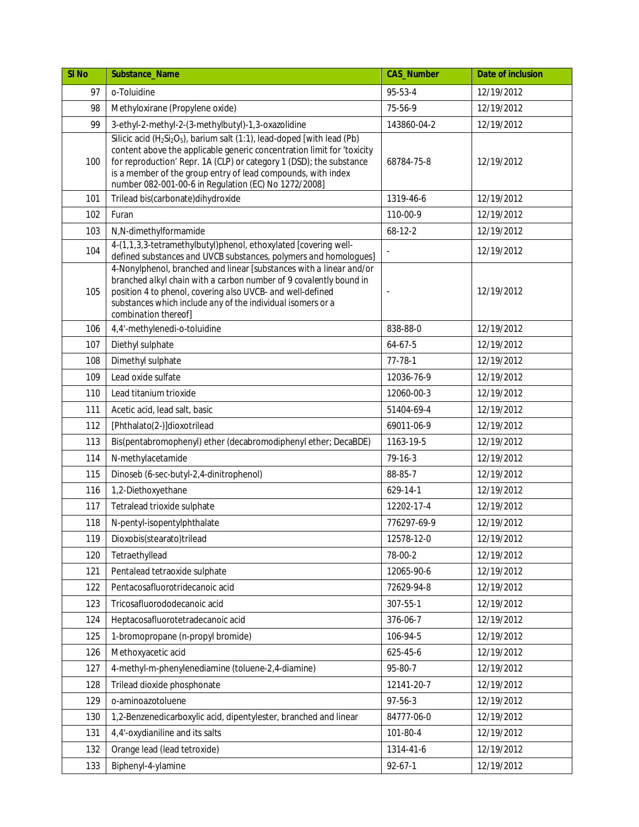| SI <sub>No</sub> | Substance Name                                                                                                                                                                                                                                                                                                                                                                        | <b>CAS_Number</b> | Date of inclusion |
|------------------|---------------------------------------------------------------------------------------------------------------------------------------------------------------------------------------------------------------------------------------------------------------------------------------------------------------------------------------------------------------------------------------|-------------------|-------------------|
| 97               | o-Toluidine                                                                                                                                                                                                                                                                                                                                                                           | 95-53-4           | 12/19/2012        |
| 98               | Methyloxirane (Propylene oxide)                                                                                                                                                                                                                                                                                                                                                       | 75-56-9           | 12/19/2012        |
| 99               | 3-ethyl-2-methyl-2-(3-methylbutyl)-1,3-oxazolidine                                                                                                                                                                                                                                                                                                                                    | 143860-04-2       | 12/19/2012        |
| 100              | Silicic acid (H <sub>2</sub> Si <sub>2</sub> O <sub>5</sub> ), barium salt (1:1), lead-doped [with lead (Pb)<br>content above the applicable generic concentration limit for 'toxicity<br>for reproduction' Repr. 1A (CLP) or category 1 (DSD); the substance<br>is a member of the group entry of lead compounds, with index<br>number 082-001-00-6 in Regulation (EC) No 1272/2008] | 68784-75-8        | 12/19/2012        |
| 101              | Trilead bis(carbonate)dihydroxide                                                                                                                                                                                                                                                                                                                                                     | 1319-46-6         | 12/19/2012        |
| 102              | Furan                                                                                                                                                                                                                                                                                                                                                                                 | 110-00-9          | 12/19/2012        |
| 103              | N,N-dimethylformamide                                                                                                                                                                                                                                                                                                                                                                 | $68 - 12 - 2$     | 12/19/2012        |
| 104              | 4-(1,1,3,3-tetramethylbutyl)phenol, ethoxylated [covering well-<br>defined substances and UVCB substances, polymers and homologues]                                                                                                                                                                                                                                                   |                   | 12/19/2012        |
| 105              | 4-Nonylphenol, branched and linear [substances with a linear and/or<br>branched alkyl chain with a carbon number of 9 covalently bound in<br>position 4 to phenol, covering also UVCB- and well-defined<br>substances which include any of the individual isomers or a<br>combination thereof]                                                                                        |                   | 12/19/2012        |
| 106              | 4,4'-methylenedi-o-toluidine                                                                                                                                                                                                                                                                                                                                                          | 838-88-0          | 12/19/2012        |
| 107              | Diethyl sulphate                                                                                                                                                                                                                                                                                                                                                                      | 64-67-5           | 12/19/2012        |
| 108              | Dimethyl sulphate                                                                                                                                                                                                                                                                                                                                                                     | $77 - 78 - 1$     | 12/19/2012        |
| 109              | Lead oxide sulfate                                                                                                                                                                                                                                                                                                                                                                    | 12036-76-9        | 12/19/2012        |
| 110              | Lead titanium trioxide                                                                                                                                                                                                                                                                                                                                                                | 12060-00-3        | 12/19/2012        |
| 111              | Acetic acid, lead salt, basic                                                                                                                                                                                                                                                                                                                                                         | 51404-69-4        | 12/19/2012        |
| 112              | [Phthalato(2-)]dioxotrilead                                                                                                                                                                                                                                                                                                                                                           | 69011-06-9        | 12/19/2012        |
| 113              | Bis(pentabromophenyl) ether (decabromodiphenyl ether; DecaBDE)                                                                                                                                                                                                                                                                                                                        | 1163-19-5         | 12/19/2012        |
| 114              | N-methylacetamide                                                                                                                                                                                                                                                                                                                                                                     | $79-16-3$         | 12/19/2012        |
| 115              | Dinoseb (6-sec-butyl-2,4-dinitrophenol)                                                                                                                                                                                                                                                                                                                                               | 88-85-7           | 12/19/2012        |
| 116              | 1,2-Diethoxyethane                                                                                                                                                                                                                                                                                                                                                                    | 629-14-1          | 12/19/2012        |
| 117              | Tetralead trioxide sulphate                                                                                                                                                                                                                                                                                                                                                           | 12202-17-4        | 12/19/2012        |
| 118              | N-pentyl-isopentylphthalate                                                                                                                                                                                                                                                                                                                                                           | 776297-69-9       | 12/19/2012        |
| 119              | Dioxobis(stearato)trilead                                                                                                                                                                                                                                                                                                                                                             | 12578-12-0        | 12/19/2012        |
| 120              | Tetraethyllead                                                                                                                                                                                                                                                                                                                                                                        | 78-00-2           | 12/19/2012        |
| 121              | Pentalead tetraoxide sulphate                                                                                                                                                                                                                                                                                                                                                         | 12065-90-6        | 12/19/2012        |
| 122              | Pentacosafluorotridecanoic acid                                                                                                                                                                                                                                                                                                                                                       | 72629-94-8        | 12/19/2012        |
| 123              | Tricosafluorododecanoic acid                                                                                                                                                                                                                                                                                                                                                          | 307-55-1          | 12/19/2012        |
| 124              | Heptacosafluorotetradecanoic acid                                                                                                                                                                                                                                                                                                                                                     | 376-06-7          | 12/19/2012        |
| 125              | 1-bromopropane (n-propyl bromide)                                                                                                                                                                                                                                                                                                                                                     | 106-94-5          | 12/19/2012        |
| 126              | Methoxyacetic acid                                                                                                                                                                                                                                                                                                                                                                    | 625-45-6          | 12/19/2012        |
| 127              | 4-methyl-m-phenylenediamine (toluene-2,4-diamine)                                                                                                                                                                                                                                                                                                                                     | 95-80-7           | 12/19/2012        |
| 128              | Trilead dioxide phosphonate                                                                                                                                                                                                                                                                                                                                                           | 12141-20-7        | 12/19/2012        |
| 129              | o-aminoazotoluene                                                                                                                                                                                                                                                                                                                                                                     | $97 - 56 - 3$     | 12/19/2012        |
| 130              | 1,2-Benzenedicarboxylic acid, dipentylester, branched and linear                                                                                                                                                                                                                                                                                                                      | 84777-06-0        | 12/19/2012        |
| 131              | 4,4'-oxydianiline and its salts                                                                                                                                                                                                                                                                                                                                                       | 101-80-4          | 12/19/2012        |
| 132              | Orange lead (lead tetroxide)                                                                                                                                                                                                                                                                                                                                                          | 1314-41-6         | 12/19/2012        |
| 133              | Biphenyl-4-ylamine                                                                                                                                                                                                                                                                                                                                                                    | $92 - 67 - 1$     | 12/19/2012        |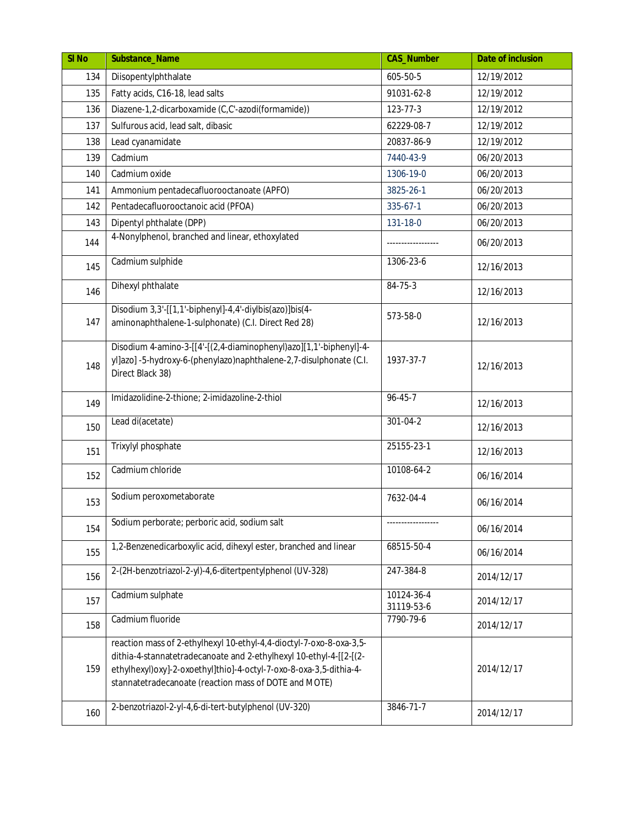| SI <sub>No</sub> | Substance_Name                                                                                                                                                                                                                                                           | <b>CAS_Number</b>        | Date of inclusion |
|------------------|--------------------------------------------------------------------------------------------------------------------------------------------------------------------------------------------------------------------------------------------------------------------------|--------------------------|-------------------|
| 134              | Diisopentylphthalate                                                                                                                                                                                                                                                     | 605-50-5                 | 12/19/2012        |
| 135              | Fatty acids, C16-18, lead salts                                                                                                                                                                                                                                          | 91031-62-8               | 12/19/2012        |
| 136              | Diazene-1,2-dicarboxamide (C,C'-azodi(formamide))                                                                                                                                                                                                                        | 123-77-3                 | 12/19/2012        |
| 137              | Sulfurous acid, lead salt, dibasic                                                                                                                                                                                                                                       | 62229-08-7               | 12/19/2012        |
| 138              | Lead cyanamidate                                                                                                                                                                                                                                                         | 20837-86-9               | 12/19/2012        |
| 139              | Cadmium                                                                                                                                                                                                                                                                  | 7440-43-9                | 06/20/2013        |
| 140              | Cadmium oxide                                                                                                                                                                                                                                                            | 1306-19-0                | 06/20/2013        |
| 141              | Ammonium pentadecafluorooctanoate (APFO)                                                                                                                                                                                                                                 | 3825-26-1                | 06/20/2013        |
| 142              | Pentadecafluorooctanoic acid (PFOA)                                                                                                                                                                                                                                      | 335-67-1                 | 06/20/2013        |
| 143              | Dipentyl phthalate (DPP)                                                                                                                                                                                                                                                 | 131-18-0                 | 06/20/2013        |
| 144              | 4-Nonylphenol, branched and linear, ethoxylated                                                                                                                                                                                                                          |                          | 06/20/2013        |
| 145              | Cadmium sulphide                                                                                                                                                                                                                                                         | 1306-23-6                | 12/16/2013        |
| 146              | Dihexyl phthalate                                                                                                                                                                                                                                                        | 84-75-3                  | 12/16/2013        |
| 147              | Disodium 3,3'-[[1,1'-biphenyl]-4,4'-diylbis(azo)]bis(4-<br>aminonaphthalene-1-sulphonate) (C.I. Direct Red 28)                                                                                                                                                           | 573-58-0                 | 12/16/2013        |
| 148              | Disodium 4-amino-3-[[4'-[(2,4-diaminophenyl)azo][1,1'-biphenyl]-4-<br>yl]azo] -5-hydroxy-6-(phenylazo)naphthalene-2,7-disulphonate (C.I.<br>Direct Black 38)                                                                                                             | 1937-37-7                | 12/16/2013        |
| 149              | Imidazolidine-2-thione; 2-imidazoline-2-thiol                                                                                                                                                                                                                            | $96 - 45 - 7$            | 12/16/2013        |
| 150              | Lead di(acetate)                                                                                                                                                                                                                                                         | 301-04-2                 | 12/16/2013        |
| 151              | Trixylyl phosphate                                                                                                                                                                                                                                                       | 25155-23-1               | 12/16/2013        |
| 152              | Cadmium chloride                                                                                                                                                                                                                                                         | 10108-64-2               | 06/16/2014        |
| 153              | Sodium peroxometaborate                                                                                                                                                                                                                                                  | 7632-04-4                | 06/16/2014        |
| 154              | Sodium perborate; perboric acid, sodium salt                                                                                                                                                                                                                             | ------------------       | 06/16/2014        |
| 155              | 1,2-Benzenedicarboxylic acid, dihexyl ester, branched and linear                                                                                                                                                                                                         | 68515-50-4               | 06/16/2014        |
| 156              | 2-(2H-benzotriazol-2-yl)-4,6-ditertpentylphenol (UV-328)                                                                                                                                                                                                                 | 247-384-8                | 2014/12/17        |
| 157              | Cadmium sulphate                                                                                                                                                                                                                                                         | 10124-36-4<br>31119-53-6 | 2014/12/17        |
| 158              | Cadmium fluoride                                                                                                                                                                                                                                                         | 7790-79-6                | 2014/12/17        |
| 159              | reaction mass of 2-ethylhexyl 10-ethyl-4,4-dioctyl-7-oxo-8-oxa-3,5-<br>dithia-4-stannatetradecanoate and 2-ethylhexyl 10-ethyl-4-[[2-[(2-<br>ethylhexyl)oxy]-2-oxoethyl]thio]-4-octyl-7-oxo-8-oxa-3,5-dithia-4-<br>stannatetradecanoate (reaction mass of DOTE and MOTE) |                          | 2014/12/17        |
| 160              | 2-benzotriazol-2-yl-4,6-di-tert-butylphenol (UV-320)                                                                                                                                                                                                                     | 3846-71-7                | 2014/12/17        |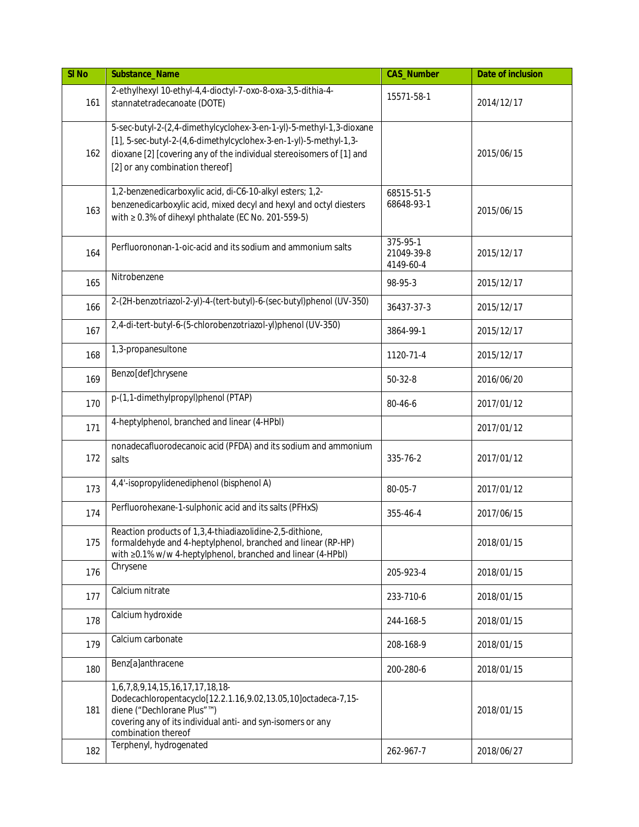| SI <sub>No</sub> | Substance_Name                                                                                                                                                                                                                                      | <b>CAS_Number</b>                   | Date of inclusion |
|------------------|-----------------------------------------------------------------------------------------------------------------------------------------------------------------------------------------------------------------------------------------------------|-------------------------------------|-------------------|
| 161              | 2-ethylhexyl 10-ethyl-4,4-dioctyl-7-oxo-8-oxa-3,5-dithia-4-<br>stannatetradecanoate (DOTE)                                                                                                                                                          | 15571-58-1                          | 2014/12/17        |
| 162              | 5-sec-butyl-2-(2,4-dimethylcyclohex-3-en-1-yl)-5-methyl-1,3-dioxane<br>[1], 5-sec-butyl-2-(4,6-dimethylcyclohex-3-en-1-yl)-5-methyl-1,3-<br>dioxane [2] [covering any of the individual stereoisomers of [1] and<br>[2] or any combination thereof] |                                     | 2015/06/15        |
| 163              | 1,2-benzenedicarboxylic acid, di-C6-10-alkyl esters; 1,2-<br>benzenedicarboxylic acid, mixed decyl and hexyl and octyl diesters<br>with ≥ 0.3% of dihexyl phthalate (EC No. 201-559-5)                                                              | 68515-51-5<br>68648-93-1            | 2015/06/15        |
| 164              | Perfluorononan-1-oic-acid and its sodium and ammonium salts                                                                                                                                                                                         | 375-95-1<br>21049-39-8<br>4149-60-4 | 2015/12/17        |
| 165              | Nitrobenzene                                                                                                                                                                                                                                        | 98-95-3                             | 2015/12/17        |
| 166              | 2-(2H-benzotriazol-2-yl)-4-(tert-butyl)-6-(sec-butyl)phenol (UV-350)                                                                                                                                                                                | 36437-37-3                          | 2015/12/17        |
| 167              | 2,4-di-tert-butyl-6-(5-chlorobenzotriazol-yl)phenol (UV-350)                                                                                                                                                                                        | 3864-99-1                           | 2015/12/17        |
| 168              | 1,3-propanesultone                                                                                                                                                                                                                                  | 1120-71-4                           | 2015/12/17        |
| 169              | Benzo[def]chrysene                                                                                                                                                                                                                                  | $50 - 32 - 8$                       | 2016/06/20        |
| 170              | p-(1,1-dimethylpropyl)phenol (PTAP)                                                                                                                                                                                                                 | 80-46-6                             | 2017/01/12        |
| 171              | 4-heptylphenol, branched and linear (4-HPbl)                                                                                                                                                                                                        |                                     | 2017/01/12        |
| 172              | nonadecafluorodecanoic acid (PFDA) and its sodium and ammonium<br>salts                                                                                                                                                                             | 335-76-2                            | 2017/01/12        |
| 173              | 4,4'-isopropylidenediphenol (bisphenol A)                                                                                                                                                                                                           | 80-05-7                             | 2017/01/12        |
| 174              | Perfluorohexane-1-sulphonic acid and its salts (PFHxS)                                                                                                                                                                                              | 355-46-4                            | 2017/06/15        |
| 175              | Reaction products of 1,3,4-thiadiazolidine-2,5-dithione,<br>formaldehyde and 4-heptylphenol, branched and linear (RP-HP)<br>with ≥0.1% w/w 4-heptylphenol, branched and linear (4-HPbl)                                                             |                                     | 2018/01/15        |
| 176              | Chrysene                                                                                                                                                                                                                                            | 205-923-4                           | 2018/01/15        |
| 177              | Calcium nitrate                                                                                                                                                                                                                                     | 233-710-6                           | 2018/01/15        |
| 178              | Calcium hydroxide                                                                                                                                                                                                                                   | 244-168-5                           | 2018/01/15        |
| 179              | Calcium carbonate                                                                                                                                                                                                                                   | 208-168-9                           | 2018/01/15        |
| 180              | Benz[a]anthracene                                                                                                                                                                                                                                   | 200-280-6                           | 2018/01/15        |
| 181              | 1,6,7,8,9,14,15,16,17,17,18,18-<br>Dodecachloropentacyclo[12.2.1.16,9.02,13.05,10]octadeca-7,15-<br>diene ("Dechlorane Plus"™)<br>covering any of its individual anti- and syn-isomers or any<br>combination thereof                                |                                     | 2018/01/15        |
| 182              | Terphenyl, hydrogenated                                                                                                                                                                                                                             | 262-967-7                           | 2018/06/27        |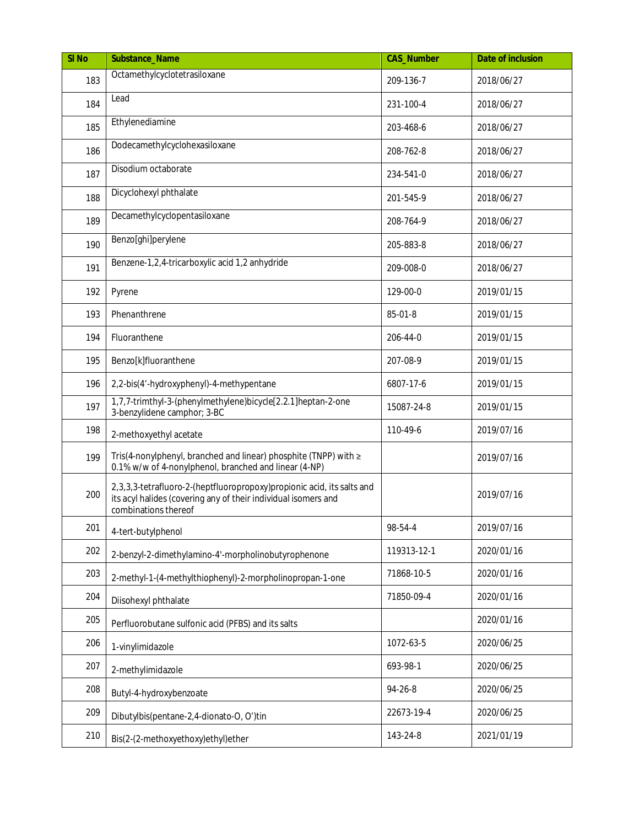| SI <sub>No</sub> | Substance_Name                                                                                                                                                   | <b>CAS_Number</b> | Date of inclusion |
|------------------|------------------------------------------------------------------------------------------------------------------------------------------------------------------|-------------------|-------------------|
| 183              | Octamethylcyclotetrasiloxane                                                                                                                                     | 209-136-7         | 2018/06/27        |
| 184              | Lead                                                                                                                                                             | 231-100-4         | 2018/06/27        |
| 185              | Ethylenediamine                                                                                                                                                  | 203-468-6         | 2018/06/27        |
| 186              | Dodecamethylcyclohexasiloxane                                                                                                                                    | 208-762-8         | 2018/06/27        |
| 187              | Disodium octaborate                                                                                                                                              | 234-541-0         | 2018/06/27        |
| 188              | Dicyclohexyl phthalate                                                                                                                                           | 201-545-9         | 2018/06/27        |
| 189              | Decamethylcyclopentasiloxane                                                                                                                                     | 208-764-9         | 2018/06/27        |
| 190              | Benzo[ghi]perylene                                                                                                                                               | 205-883-8         | 2018/06/27        |
| 191              | Benzene-1,2,4-tricarboxylic acid 1,2 anhydride                                                                                                                   | 209-008-0         | 2018/06/27        |
| 192              | Pyrene                                                                                                                                                           | 129-00-0          | 2019/01/15        |
| 193              | Phenanthrene                                                                                                                                                     | 85-01-8           | 2019/01/15        |
| 194              | Fluoranthene                                                                                                                                                     | 206-44-0          | 2019/01/15        |
| 195              | Benzo[k]fluoranthene                                                                                                                                             | 207-08-9          | 2019/01/15        |
| 196              | 2,2-bis(4'-hydroxyphenyl)-4-methypentane                                                                                                                         | 6807-17-6         | 2019/01/15        |
| 197              | 1,7,7-trimthyl-3-(phenylmethylene)bicycle[2.2.1]heptan-2-one<br>3-benzylidene camphor; 3-BC                                                                      | 15087-24-8        | 2019/01/15        |
| 198              | 2-methoxyethyl acetate                                                                                                                                           | 110-49-6          | 2019/07/16        |
| 199              | Tris(4-nonylphenyl, branched and linear) phosphite (TNPP) with ≥<br>0.1% w/w of 4-nonylphenol, branched and linear (4-NP)                                        |                   | 2019/07/16        |
| 200              | 2,3,3,3-tetrafluoro-2-(heptfluoropropoxy)propionic acid, its salts and<br>its acyl halides (covering any of their individual isomers and<br>combinations thereof |                   | 2019/07/16        |
| 201              | 4-tert-butylphenol                                                                                                                                               | 98-54-4           | 2019/07/16        |
| 202              | 2-benzyl-2-dimethylamino-4'-morpholinobutyrophenone                                                                                                              | 119313-12-1       | 2020/01/16        |
| 203              | 2-methyl-1-(4-methylthiophenyl)-2-morpholinopropan-1-one                                                                                                         | 71868-10-5        | 2020/01/16        |
| 204              | Diisohexyl phthalate                                                                                                                                             | 71850-09-4        | 2020/01/16        |
| 205              | Perfluorobutane sulfonic acid (PFBS) and its salts                                                                                                               |                   | 2020/01/16        |
| 206              | 1-vinylimidazole                                                                                                                                                 | 1072-63-5         | 2020/06/25        |
| 207              | 2-methylimidazole                                                                                                                                                | 693-98-1          | 2020/06/25        |
| 208              | Butyl-4-hydroxybenzoate                                                                                                                                          | 94-26-8           | 2020/06/25        |
| 209              | Dibutylbis(pentane-2,4-dionato-O, O')tin                                                                                                                         | 22673-19-4        | 2020/06/25        |
| 210              | Bis(2-(2-methoxyethoxy)ethyl)ether                                                                                                                               | 143-24-8          | 2021/01/19        |